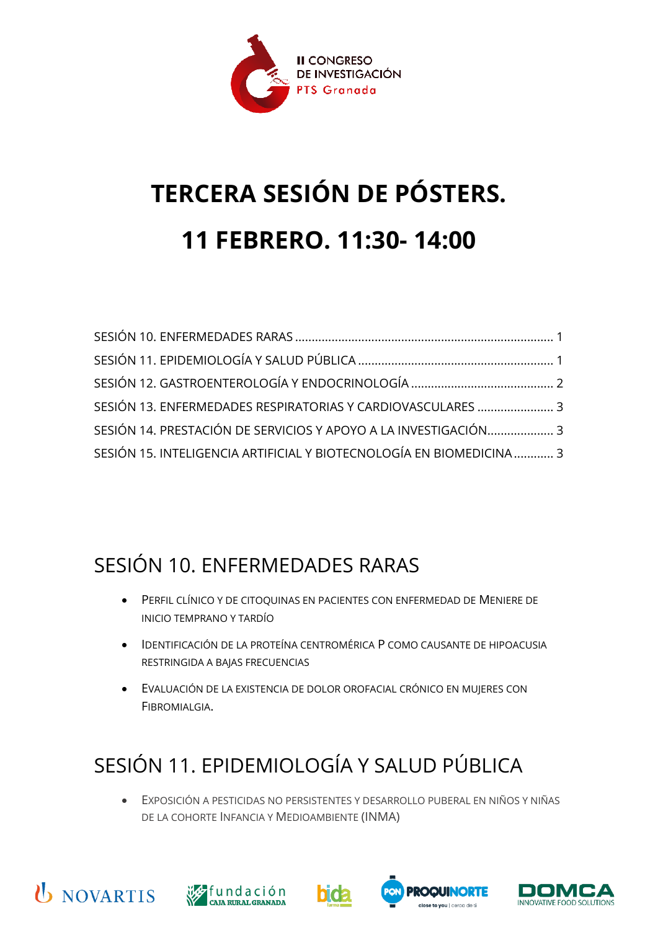

# **TERCERA SESIÓN DE PÓSTERS. 11 FEBRERO. 11:30- 14:00**

| SESIÓN 13. ENFERMEDADES RESPIRATORIAS Y CARDIOVASCULARES  3          |  |
|----------------------------------------------------------------------|--|
| SESIÓN 14. PRESTACIÓN DE SERVICIOS Y APOYO A LA INVESTIGACIÓN 3      |  |
| SESIÓN 15. INTELIGENCIA ARTIFICIAL Y BIOTECNOLOGÍA EN BIOMEDICINA  3 |  |

#### <span id="page-0-0"></span>SESIÓN 10. ENFERMEDADES RARAS

- PERFIL CLÍNICO Y DE CITOQUINAS EN PACIENTES CON ENFERMEDAD DE MENIERE DE INICIO TEMPRANO Y TARDÍO
- IDENTIFICACIÓN DE LA PROTEÍNA CENTROMÉRICA P COMO CAUSANTE DE HIPOACUSIA RESTRINGIDA A BAJAS FRECUENCIAS
- EVALUACIÓN DE LA EXISTENCIA DE DOLOR OROFACIAL CRÓNICO EN MUJERES CON FIBROMIALGIA.

## <span id="page-0-1"></span>SESIÓN 11. EPIDEMIOLOGÍA Y SALUD PÚBLICA

• EXPOSICIÓN A PESTICIDAS NO PERSISTENTES Y DESARROLLO PUBERAL EN NIÑOS Y NIÑAS DE LA COHORTE INFANCIA Y MEDIOAMBIENTE (INMA)









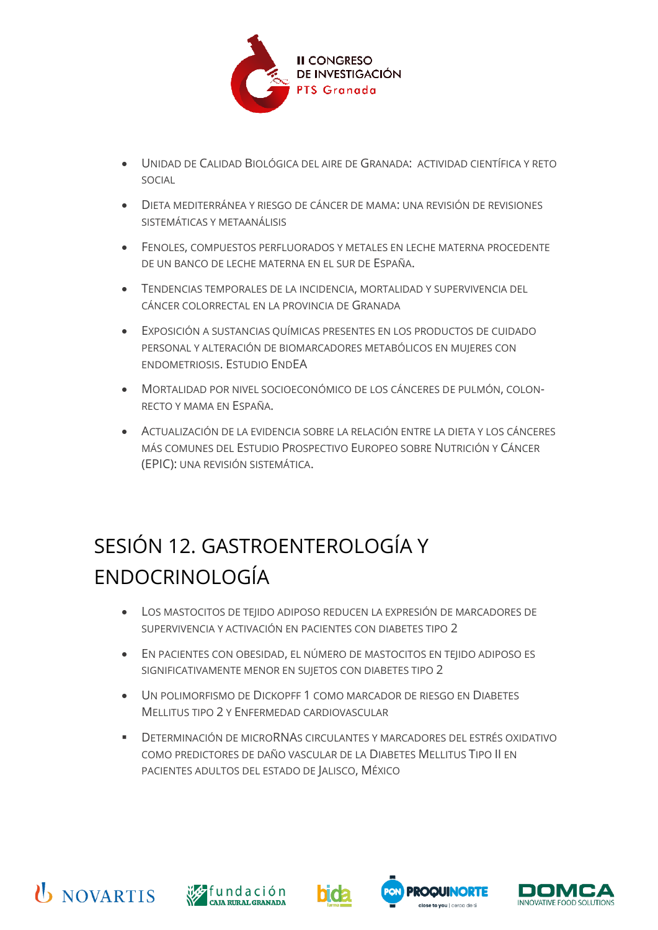

- UNIDAD DE CALIDAD BIOLÓGICA DEL AIRE DE GRANADA: ACTIVIDAD CIENTÍFICA Y RETO SOCIAL
- DIETA MEDITERRÁNEA Y RIESGO DE CÁNCER DE MAMA: UNA REVISIÓN DE REVISIONES SISTEMÁTICAS Y METAANÁLISIS
- FENOLES, COMPUESTOS PERFLUORADOS Y METALES EN LECHE MATERNA PROCEDENTE DE UN BANCO DE LECHE MATERNA EN EL SUR DE ESPAÑA.
- TENDENCIAS TEMPORALES DE LA INCIDENCIA, MORTALIDAD Y SUPERVIVENCIA DEL CÁNCER COLORRECTAL EN LA PROVINCIA DE GRANADA
- EXPOSICIÓN A SUSTANCIAS QUÍMICAS PRESENTES EN LOS PRODUCTOS DE CUIDADO PERSONAL Y ALTERACIÓN DE BIOMARCADORES METABÓLICOS EN MUJERES CON ENDOMETRIOSIS. ESTUDIO ENDEA
- MORTALIDAD POR NIVEL SOCIOECONÓMICO DE LOS CÁNCERES DE PULMÓN, COLON-RECTO Y MAMA EN ESPAÑA.
- ACTUALIZACIÓN DE LA EVIDENCIA SOBRE LA RELACIÓN ENTRE LA DIETA Y LOS CÁNCERES MÁS COMUNES DEL ESTUDIO PROSPECTIVO EUROPEO SOBRE NUTRICIÓN Y CÁNCER (EPIC): UNA REVISIÓN SISTEMÁTICA.

## <span id="page-1-0"></span>SESIÓN 12. GASTROENTEROLOGÍA Y ENDOCRINOLOGÍA

- LOS MASTOCITOS DE TEJIDO ADIPOSO REDUCEN LA EXPRESIÓN DE MARCADORES DE SUPERVIVENCIA Y ACTIVACIÓN EN PACIENTES CON DIABETES TIPO 2
- EN PACIENTES CON OBESIDAD, EL NÚMERO DE MASTOCITOS EN TEJIDO ADIPOSO ES SIGNIFICATIVAMENTE MENOR EN SUJETOS CON DIABETES TIPO 2
- UN POLIMORFISMO DE DICKOPFF 1 COMO MARCADOR DE RIESGO EN DIABETES MELLITUS TIPO 2 Y ENFERMEDAD CARDIOVASCULAR
- DETERMINACIÓN DE MICRORNAS CIRCULANTES Y MARCADORES DEL ESTRÉS OXIDATIVO COMO PREDICTORES DE DAÑO VASCULAR DE LA DIABETES MELLITUS TIPO II EN PACIENTES ADULTOS DEL ESTADO DE JALISCO, MÉXICO









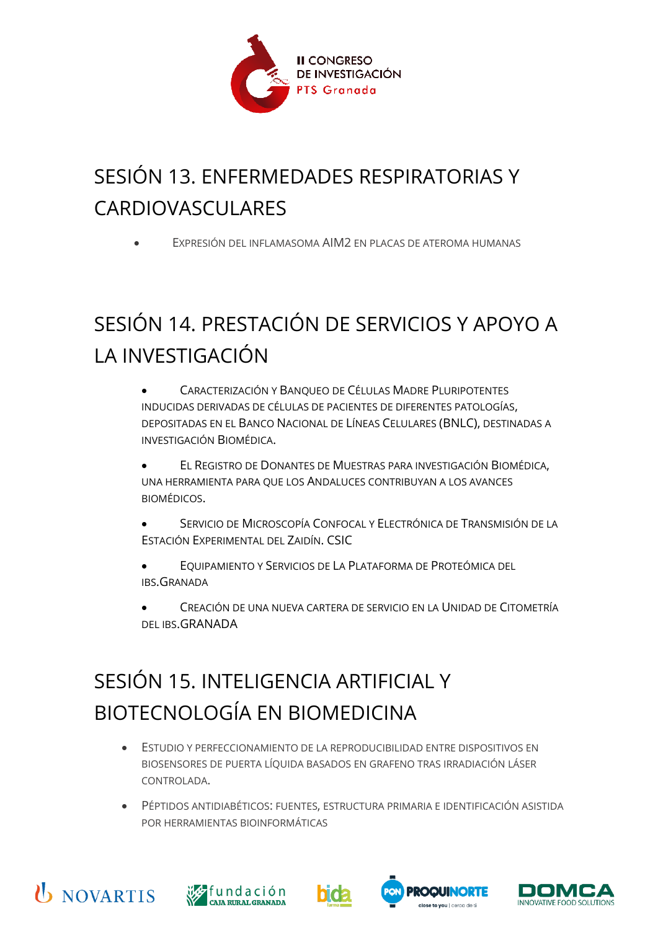

### <span id="page-2-0"></span>SESIÓN 13. ENFERMEDADES RESPIRATORIAS Y CARDIOVASCULARES

• EXPRESIÓN DEL INFLAMASOMA AIM2 EN PLACAS DE ATEROMA HUMANAS

## <span id="page-2-1"></span>SESIÓN 14. PRESTACIÓN DE SERVICIOS Y APOYO A LA INVESTIGACIÓN

- CARACTERIZACIÓN Y BANQUEO DE CÉLULAS MADRE PLURIPOTENTES INDUCIDAS DERIVADAS DE CÉLULAS DE PACIENTES DE DIFERENTES PATOLOGÍAS, DEPOSITADAS EN EL BANCO NACIONAL DE LÍNEAS CELULARES (BNLC), DESTINADAS A INVESTIGACIÓN BIOMÉDICA.
- EL REGISTRO DE DONANTES DE MUESTRAS PARA INVESTIGACIÓN BIOMÉDICA, UNA HERRAMIENTA PARA QUE LOS ANDALUCES CONTRIBUYAN A LOS AVANCES BIOMÉDICOS.
- SERVICIO DE MICROSCOPÍA CONFOCAL Y ELECTRÓNICA DE TRANSMISIÓN DE LA ESTACIÓN EXPERIMENTAL DEL ZAIDÍN. CSIC
- EQUIPAMIENTO Y SERVICIOS DE LA PLATAFORMA DE PROTEÓMICA DEL IBS.GRANADA
- CREACIÓN DE UNA NUEVA CARTERA DE SERVICIO EN LA UNIDAD DE CITOMETRÍA DEL IBS.GRANADA

### <span id="page-2-2"></span>SESIÓN 15. INTELIGENCIA ARTIFICIAL Y BIOTECNOLOGÍA EN BIOMEDICINA

- ESTUDIO Y PERFECCIONAMIENTO DE LA REPRODUCIBILIDAD ENTRE DISPOSITIVOS EN BIOSENSORES DE PUERTA LÍQUIDA BASADOS EN GRAFENO TRAS IRRADIACIÓN LÁSER CONTROLADA.
- PÉPTIDOS ANTIDIABÉTICOS: FUENTES, ESTRUCTURA PRIMARIA E IDENTIFICACIÓN ASISTIDA POR HERRAMIENTAS BIOINFORMÁTICAS